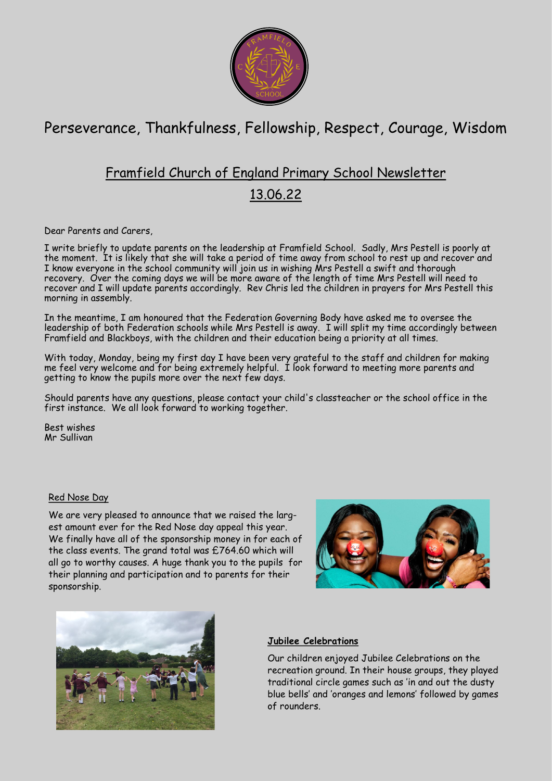

# Perseverance, Thankfulness, Fellowship, Respect, Courage, Wisdom

## Framfield Church of England Primary School Newsletter

### 13.06.22

Dear Parents and Carers

I write briefly to update parents on the leadership at Framfield School. Sadly, Mrs Pestell is poorly at the moment. It is likely that she will take a period of time away from school to rest up and recover and I know everyone in the school community will join us in wishing Mrs Pestell a swift and thorough recovery. Over the coming days we will be more aware of the length of time Mrs Pestell will need to recover and I will update parents accordingly. Rev Chris led the children in prayers for Mrs Pestell this morning in assembly.

In the meantime, I am honoured that the Federation Governing Body have asked me to oversee the leadership of both Federation schools while Mrs Pestell is away. I will split my time accordingly between Framfield and Blackboys, with the children and their education being a priority at all times.

With today, Monday, being my first day I have been very grateful to the staff and children for making me feel very welcome and for being extremely helpful. I look forward to meeting more parents and getting to know the pupils more over the next few days.

Should parents have any questions, please contact your child's classteacher or the school office in the first instance. We all look forward to working together.

Best wishes Mr Sullivan

#### Red Nose Day

We are very pleased to announce that we raised the largest amount ever for the Red Nose day appeal this year. We finally have all of the sponsorship money in for each of the class events. The grand total was £764.60 which will all go to worthy causes. A huge thank you to the pupils for their planning and participation and to parents for their sponsorship.





#### **Jubilee Celebrations**

Our children enjoyed Jubilee Celebrations on the recreation ground. In their house groups, they played traditional circle games such as 'in and out the dusty blue bells' and 'oranges and lemons' followed by games of rounders.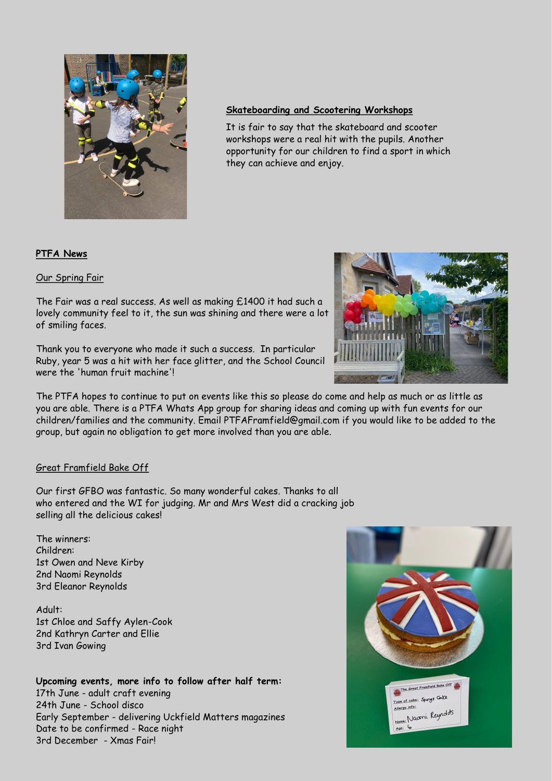

#### **Skateboarding and Scootering Workshops**

It is fair to say that the skateboard and scooter workshops were a real hit with the pupils. Another opportunity for our children to find a sport in which they can achieve and enjoy.

#### **PTFA News**

#### Our Spring Fair

The Fair was a real success. As well as making £1400 it had such a lovely community feel to it, the sun was shining and there were a lot of smiling faces.

Thank you to everyone who made it such a success. In particular Ruby, year 5 was a hit with her face glitter, and the School Council were the 'human fruit machine'!

The PTFA hopes to continue to put on events like this so please do come and help as much or as little as you are able. There is a PTFA Whats App group for sharing ideas and coming up with fun events for our children/families and the community. Email PTFAFramfield@gmail.com if you would like to be added to the group, but again no obligation to get more involved than you are able.

#### Great Framfield Bake Off

Our first GFBO was fantastic. So many wonderful cakes. Thanks to all who entered and the WI for judging. Mr and Mrs West did a cracking job selling all the delicious cakes!

#### The winners: Children: 1st Owen and Neve Kirby 2nd Naomi Reynolds 3rd Eleanor Reynolds

Adult: 1st Chloe and Saffy Aylen-Cook 2nd Kathryn Carter and Ellie 3rd Ivan Gowing

#### **Upcoming events, more info to follow after half term:**

17th June - adult craft evening 24th June - School disco Early September - delivering Uckfield Matters magazines Date to be confirmed - Race night 3rd December - Xmas Fair!



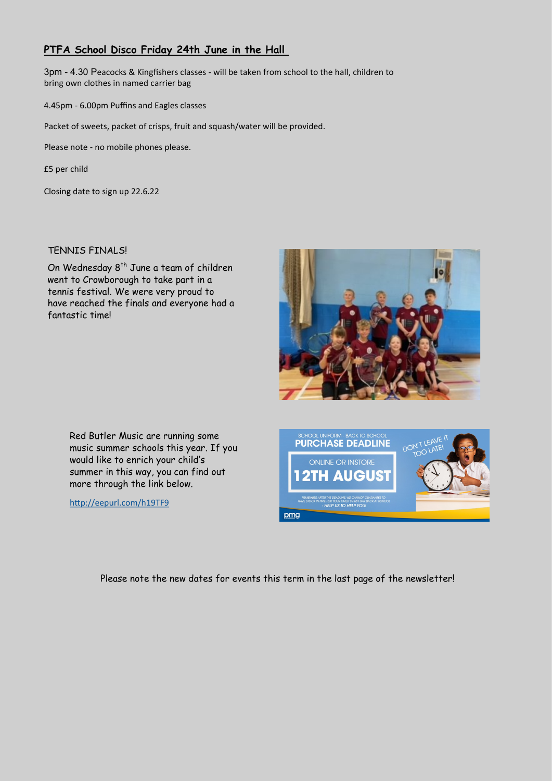### **PTFA School Disco Friday 24th June in the Hall**

3pm - 4.30 Peacocks & Kingfishers classes - will be taken from school to the hall, children to bring own clothes in named carrier bag

4.45pm - 6.00pm Puffins and Eagles classes

Packet of sweets, packet of crisps, fruit and squash/water will be provided.

Please note - no mobile phones please.

£5 per child

Closing date to sign up 22.6.22

#### TENNIS FINALS!

On Wednesday 8<sup>th</sup> June a team of children went to Crowborough to take part in a tennis festival. We were very proud to have reached the finals and everyone had a fantastic time!



Red Butler Music are running some music summer schools this year. If you would like to enrich your child's summer in this way, you can find out more through the link below.

<http://eepurl.com/h19TF9>



Please note the new dates for events this term in the last page of the newsletter!